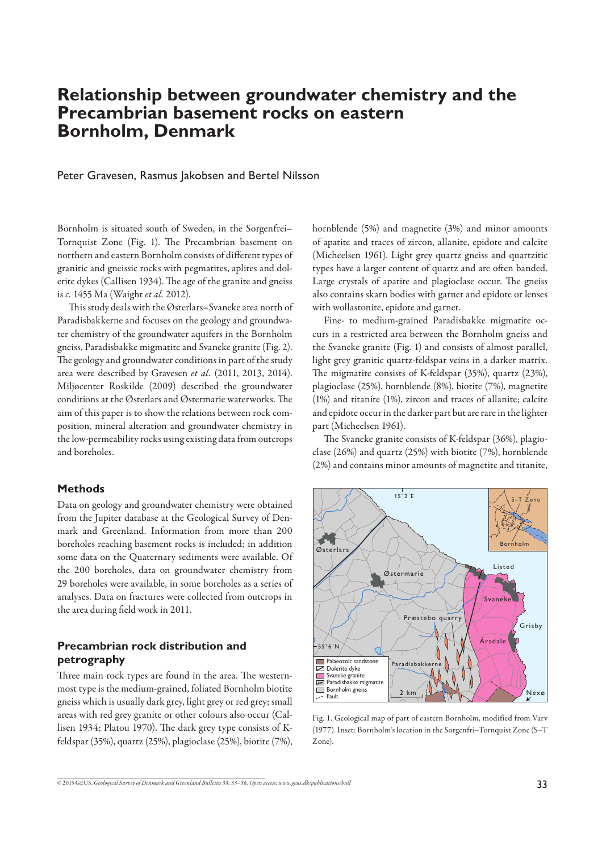# **Relationship between groundwater chemistry and the Precambrian basement rocks on eastern Bornholm, Denmark**

Peter Gravesen, Rasmus Jakobsen and Bertel Nilsson

Bornholm is situated south of Sweden, in the Sorgenfrei– Tornquist Zone (Fig. 1). The Precambrian basement on northern and eastern Bornholm consists of different types of granitic and gneissic rocks with pegmatites, aplites and dolerite dykes (Callisen 1934). The age of the granite and gneiss is *c.* 1455 Ma (Waight *et al.* 2012).

This study deals with the Østerlars-Svaneke area north of Paradisbakkerne and focuses on the geology and groundwater chemistry of the groundwater aquifers in the Bornholm gneiss, Paradisbakke migmatite and Svaneke granite (Fig. 2). The geology and groundwater conditions in part of the study area were described by Gravesen *et al.* (2011, 2013, 2014). Miljøcenter Roskilde (2009) described the groundwater conditions at the Østerlars and Østermarie waterworks. The aim of this paper is to show the relations between rock composition, mineral alteration and groundwater chemistry in the low-permeability rocks using existing data from outcrops and boreholes.

## **Methods**

Data on geology and groundwater chemistry were obtained from the Jupiter database at the Geological Survey of Denmark and Greenland. Information from more than 200 boreholes reaching basement rocks is included; in addition some data on the Quaternary sediments were available. Of the 200 boreholes, data on groundwater chemistry from 29 boreholes were available, in some boreholes as a series of analyses. Data on fractures were collected from outcrops in the area during field work in 2011.

# **Precambrian rock distribution and petrography**

Three main rock types are found in the area. The westernmost type is the medium-grained, foliated Bornholm biotite gneiss which is usually dark grey, light grey or red grey; small areas with red grey granite or other colours also occur (Callisen 1934; Platou 1970). The dark grey type consists of Kfeldspar (35%), quartz (25%), plagioclase (25%), biotite (7%), hornblende (5%) and magnetite (3%) and minor amounts of apatite and traces of zircon, allanite, epidote and calcite (Micheelsen 1961). Light grey quartz gneiss and quartzitic types have a larger content of quartz and are often banded. Large crystals of apatite and plagioclase occur. The gneiss also contains skarn bodies with garnet and epidote or lenses with wollastonite, epidote and garnet.

Fine- to medium-grained Paradisbakke migmatite occurs in a restricted area between the Bornholm gneiss and the Svaneke granite (Fig. 1) and consists of almost parallel, light grey granitic quartz-feldspar veins in a darker matrix. The migmatite consists of K-feldspar (35%), quartz (23%), plagioclase (25%), hornblende (8%), biotite (7%), magnetite (1%) and titanite (1%), zircon and traces of allanite; calcite and epidote occur in the darker part but are rare in the lighter part (Micheelsen 1961).

The Svaneke granite consists of K-feldspar (36%), plagioclase (26%) and quartz (25%) with biotite (7%), hornblende (2%) and contains minor amounts of magnetite and titanite,



Fig. 1. Geological map of part of eastern Bornholm, modified from Varv (1977). Inset: Bornholm's location in the Sorgenfri–Tornquist Zone (S–T Zone).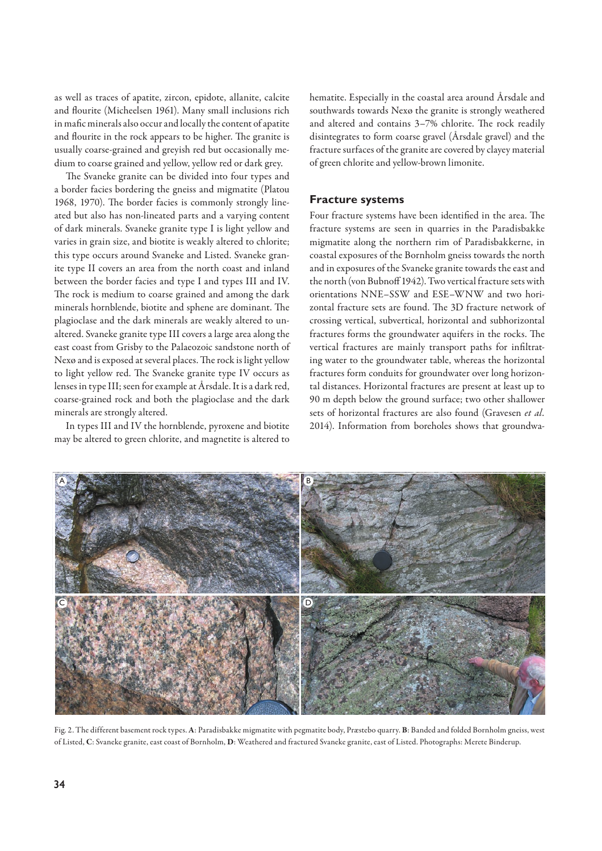as well as traces of apatite, zircon, epidote, allanite, calcite and flourite (Micheelsen 1961). Many small inclusions rich in mafic minerals also occur and locally the content of apatite and flourite in the rock appears to be higher. The granite is usually coarse-grained and greyish red but occasionally medium to coarse grained and yellow, yellow red or dark grey.

The Svaneke granite can be divided into four types and a border facies bordering the gneiss and migmatite (Platou 1968, 1970). The border facies is commonly strongly lineated but also has non-lineated parts and a varying content of dark minerals. Svaneke granite type I is light yellow and varies in grain size, and biotite is weakly altered to chlorite; this type occurs around Svaneke and Listed. Svaneke granite type II covers an area from the north coast and inland between the border facies and type I and types III and IV. The rock is medium to coarse grained and among the dark minerals hornblende, biotite and sphene are dominant. The plagioclase and the dark minerals are weakly altered to unaltered. Svaneke granite type III covers a large area along the east coast from Grisby to the Palaeozoic sandstone north of Nexø and is exposed at several places. The rock is light yellow to light yellow red. The Svaneke granite type IV occurs as lenses in type III; seen for example at Årsdale. It is a dark red, coarse-grained rock and both the plagioclase and the dark minerals are strongly altered.

In types III and IV the hornblende, pyroxene and biotite may be altered to green chlorite, and magnetite is altered to hematite. Especially in the coastal area around Årsdale and southwards towards Nexø the granite is strongly weathered and altered and contains 3-7% chlorite. The rock readily disintegrates to form coarse gravel (Årsdale gravel) and the fracture surfaces of the granite are covered by clayey material of green chlorite and yellow-brown limonite.

#### **Fracture systems**

Four fracture systems have been identified in the area. The fracture systems are seen in quarries in the Paradisbakke migmatite along the northern rim of Paradisbakkerne, in coastal exposures of the Bornholm gneiss towards the north and in exposures of the Svaneke granite towards the east and the north (von Bubnoff 1942). Two vertical fracture sets with orientations NNE–SSW and ESE–WNW and two horizontal fracture sets are found. The 3D fracture network of crossing vertical, subvertical, horizontal and subhorizontal fractures forms the groundwater aquifers in the rocks. The vertical fractures are mainly transport paths for infiltrating water to the groundwater table, whereas the horizontal fractures form conduits for groundwater over long horizontal distances. Horizontal fractures are present at least up to 90 m depth below the ground surface; two other shallower sets of horizontal fractures are also found (Gravesen *et al.* 2014). Information from boreholes shows that groundwa-



Fig. 2. The different basement rock types. **A**: Paradisbakke migmatite with pegmatite body, Præstebo quarry. **B**: Banded and folded Bornholm gneiss, west of Listed, **C**: Svaneke granite, east coast of Bornholm, **D**: Weathered and fractured Svaneke granite, east of Listed. Photographs: Merete Binderup.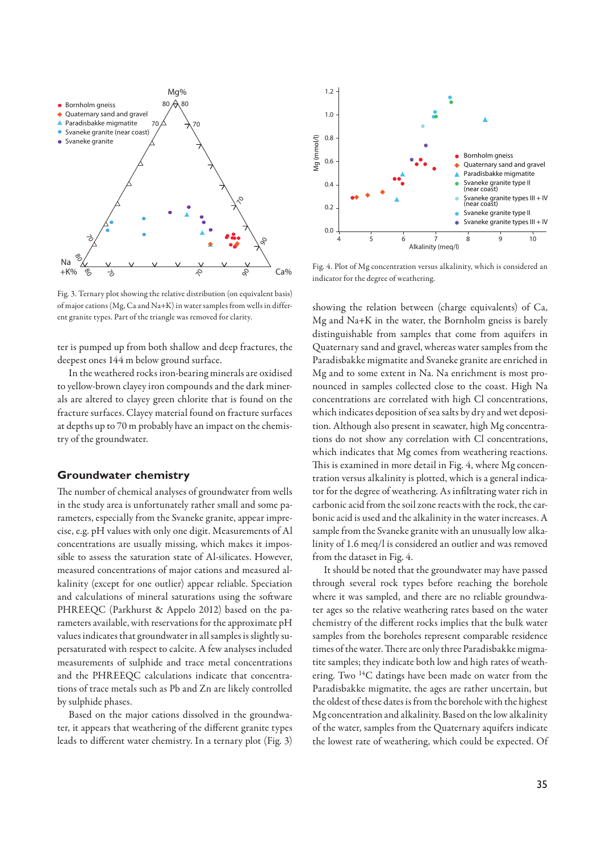

Fig. 3. Ternary plot showing the relative distribution (on equivalent basis) of major cations (Mg, Ca and Na+K) in water samples from wells in different granite types. Part of the triangle was removed for clarity.

ter is pumped up from both shallow and deep fractures, the deepest ones 144 m below ground surface.

In the weathered rocks iron-bearing minerals are oxidised to yellow-brown clayey iron compounds and the dark minerals are altered to clayey green chlorite that is found on the fracture surfaces. Clayey material found on fracture surfaces at depths up to 70 m probably have an impact on the chemistry of the groundwater.

## **Groundwater chemistry**

The number of chemical analyses of groundwater from wells in the study area is unfortunately rather small and some parameters, especially from the Svaneke granite, appear imprecise, e.g. pH values with only one digit. Measurements of Al concentrations are usually missing, which makes it impossible to assess the saturation state of Al-silicates. However, measured concentrations of major cations and measured alkalinity (except for one outlier) appear reliable. Speciation and calculations of mineral saturations using the software PHREEQC (Parkhurst & Appelo 2012) based on the parameters available, with reservations for the approximate pH values indicates that groundwater in all samples is slightly supersaturated with respect to calcite. A few analyses included measurements of sulphide and trace metal concentrations and the PHREEQC calculations indicate that concentrations of trace metals such as Pb and Zn are likely controlled by sulphide phases.

Based on the major cations dissolved in the groundwater, it appears that weathering of the different granite types leads to different water chemistry. In a ternary plot (Fig. 3)



Fig. 4. Plot of Mg concentration versus alkalinity, which is considered an indicator for the degree of weathering.

showing the relation between (charge equivalents) of Ca, Mg and Na+K in the water, the Bornholm gneiss is barely distinguishable from samples that come from aquifers in Quaternary sand and gravel, whereas water samples from the Paradisbakke migmatite and Svaneke granite are enriched in Mg and to some extent in Na. Na enrichment is most pronounced in samples collected close to the coast. High Na concentrations are correlated with high Cl concentrations, which indicates deposition of sea salts by dry and wet deposition. Although also present in seawater, high Mg concentrations do not show any correlation with Cl concentrations, which indicates that Mg comes from weathering reactions. This is examined in more detail in Fig. 4, where Mg concentration versus alkalinity is plotted, which is a general indicator for the degree of weathering. As infiltrating water rich in carbonic acid from the soil zone reacts with the rock, the carbonic acid is used and the alkalinity in the water increases. A sample from the Svaneke granite with an unusually low alkalinity of 1.6 meq/l is considered an outlier and was removed from the dataset in Fig. 4.

It should be noted that the groundwater may have passed through several rock types before reaching the borehole where it was sampled, and there are no reliable groundwater ages so the relative weathering rates based on the water chemistry of the different rocks implies that the bulk water samples from the boreholes represent comparable residence times of the water. There are only three Paradisbakke migmatite samples; they indicate both low and high rates of weathering. Two <sup>14</sup>C datings have been made on water from the Paradisbakke migmatite, the ages are rather uncertain, but the oldest of these dates is from the borehole with the highest Mg concentration and alkalinity. Based on the low alkalinity of the water, samples from the Quaternary aquifers indicate the lowest rate of weathering, which could be expected. Of